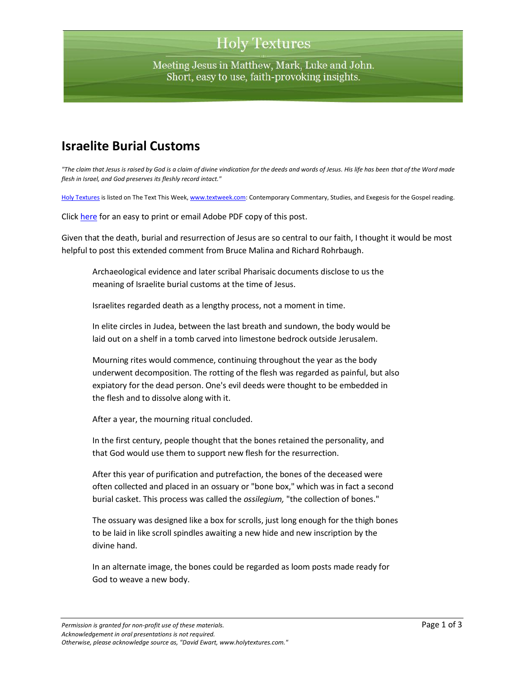# **Holy Textures**

Meeting Jesus in Matthew, Mark, Luke and John. Short, easy to use, faith-provoking insights.

### **Israelite Burial Customs**

*"The claim that Jesus is raised by God is a claim of divine vindication for the deeds and words of Jesus. His life has been that of the Word made flesh in Israel, and God preserves its fleshly record intact."*

[Holy Textures](http://www.holytextures.com/) is listed on The Text This Week[, www.textweek.com:](http://www.textweek.com/) Contemporary Commentary, Studies, and Exegesis for the Gospel reading.

Click [here](http://www.holytextures.com/israelite-burial-customs.pdf) for an easy to print or email Adobe PDF copy of this post.

Given that the death, burial and resurrection of Jesus are so central to our faith, I thought it would be most helpful to post this extended comment from Bruce Malina and Richard Rohrbaugh.

Archaeological evidence and later scribal Pharisaic documents disclose to us the meaning of Israelite burial customs at the time of Jesus.

Israelites regarded death as a lengthy process, not a moment in time.

In elite circles in Judea, between the last breath and sundown, the body would be laid out on a shelf in a tomb carved into limestone bedrock outside Jerusalem.

Mourning rites would commence, continuing throughout the year as the body underwent decomposition. The rotting of the flesh was regarded as painful, but also expiatory for the dead person. One's evil deeds were thought to be embedded in the flesh and to dissolve along with it.

After a year, the mourning ritual concluded.

In the first century, people thought that the bones retained the personality, and that God would use them to support new flesh for the resurrection.

After this year of purification and putrefaction, the bones of the deceased were often collected and placed in an ossuary or "bone box," which was in fact a second burial casket. This process was called the *ossilegium,* "the collection of bones."

The ossuary was designed like a box for scrolls, just long enough for the thigh bones to be laid in like scroll spindles awaiting a new hide and new inscription by the divine hand.

In an alternate image, the bones could be regarded as loom posts made ready for God to weave a new body.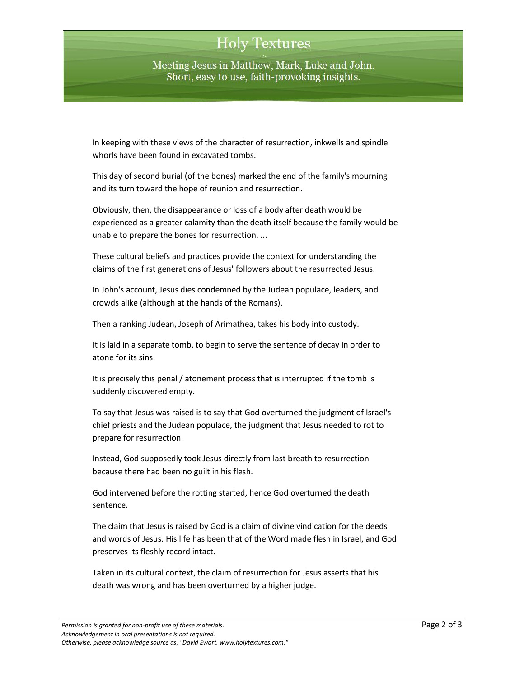# **Holy Textures**

Meeting Jesus in Matthew, Mark, Luke and John. Short, easy to use, faith-provoking insights.

In keeping with these views of the character of resurrection, inkwells and spindle whorls have been found in excavated tombs.

This day of second burial (of the bones) marked the end of the family's mourning and its turn toward the hope of reunion and resurrection.

Obviously, then, the disappearance or loss of a body after death would be experienced as a greater calamity than the death itself because the family would be unable to prepare the bones for resurrection. ...

These cultural beliefs and practices provide the context for understanding the claims of the first generations of Jesus' followers about the resurrected Jesus.

In John's account, Jesus dies condemned by the Judean populace, leaders, and crowds alike (although at the hands of the Romans).

Then a ranking Judean, Joseph of Arimathea, takes his body into custody.

It is laid in a separate tomb, to begin to serve the sentence of decay in order to atone for its sins.

It is precisely this penal / atonement process that is interrupted if the tomb is suddenly discovered empty.

To say that Jesus was raised is to say that God overturned the judgment of Israel's chief priests and the Judean populace, the judgment that Jesus needed to rot to prepare for resurrection.

Instead, God supposedly took Jesus directly from last breath to resurrection because there had been no guilt in his flesh.

God intervened before the rotting started, hence God overturned the death sentence.

The claim that Jesus is raised by God is a claim of divine vindication for the deeds and words of Jesus. His life has been that of the Word made flesh in Israel, and God preserves its fleshly record intact.

Taken in its cultural context, the claim of resurrection for Jesus asserts that his death was wrong and has been overturned by a higher judge.